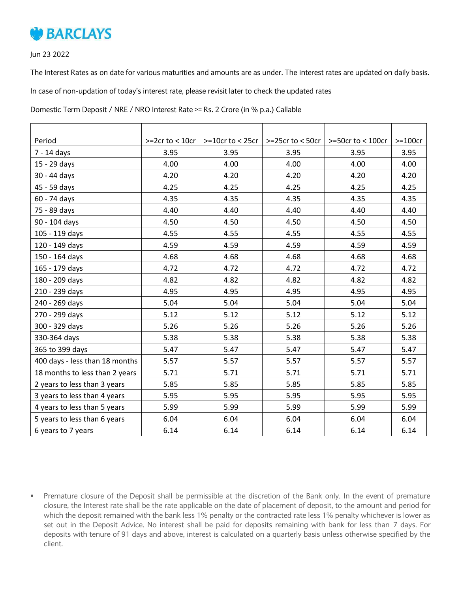

Jun 23 2022

The Interest Rates as on date for various maturities and amounts are as under. The interest rates are updated on daily basis.

In case of non-updation of today's interest rate, please revisit later to check the updated rates

Domestic Term Deposit / NRE / NRO Interest Rate >= Rs. 2 Crore (in % p.a.) Callable

| Period                         | $>=2cr$ to < 10cr | $> = 10$ cr to < 25cr   $> = 25$ cr to < 50cr |      | $>=50$ cr to < 100cr | $>=100cr$ |
|--------------------------------|-------------------|-----------------------------------------------|------|----------------------|-----------|
| 7 - 14 days                    | 3.95              | 3.95                                          | 3.95 | 3.95                 | 3.95      |
| 15 - 29 days                   | 4.00              | 4.00                                          | 4.00 | 4.00                 | 4.00      |
| 30 - 44 days                   | 4.20              | 4.20                                          | 4.20 | 4.20                 | 4.20      |
| 45 - 59 days                   | 4.25              | 4.25                                          | 4.25 | 4.25                 | 4.25      |
| 60 - 74 days                   | 4.35              | 4.35                                          | 4.35 | 4.35                 | 4.35      |
| 75 - 89 days                   | 4.40              | 4.40                                          | 4.40 | 4.40                 | 4.40      |
| 90 - 104 days                  | 4.50              | 4.50                                          | 4.50 | 4.50                 | 4.50      |
| 105 - 119 days                 | 4.55              | 4.55                                          | 4.55 | 4.55                 | 4.55      |
| 120 - 149 days                 | 4.59              | 4.59                                          | 4.59 | 4.59                 | 4.59      |
| 150 - 164 days                 | 4.68              | 4.68                                          | 4.68 | 4.68                 | 4.68      |
| 165 - 179 days                 | 4.72              | 4.72                                          | 4.72 | 4.72                 | 4.72      |
| 180 - 209 days                 | 4.82              | 4.82                                          | 4.82 | 4.82                 | 4.82      |
| 210 - 239 days                 | 4.95              | 4.95                                          | 4.95 | 4.95                 | 4.95      |
| 240 - 269 days                 | 5.04              | 5.04                                          | 5.04 | 5.04                 | 5.04      |
| 270 - 299 days                 | 5.12              | 5.12                                          | 5.12 | 5.12                 | 5.12      |
| 300 - 329 days                 | 5.26              | 5.26                                          | 5.26 | 5.26                 | 5.26      |
| 330-364 days                   | 5.38              | 5.38                                          | 5.38 | 5.38                 | 5.38      |
| 365 to 399 days                | 5.47              | 5.47                                          | 5.47 | 5.47                 | 5.47      |
| 400 days - less than 18 months | 5.57              | 5.57                                          | 5.57 | 5.57                 | 5.57      |
| 18 months to less than 2 years | 5.71              | 5.71                                          | 5.71 | 5.71                 | 5.71      |
| 2 years to less than 3 years   | 5.85              | 5.85                                          | 5.85 | 5.85                 | 5.85      |
| 3 years to less than 4 years   | 5.95              | 5.95                                          | 5.95 | 5.95                 | 5.95      |
| 4 years to less than 5 years   | 5.99              | 5.99                                          | 5.99 | 5.99                 | 5.99      |
| 5 years to less than 6 years   | 6.04              | 6.04                                          | 6.04 | 6.04                 | 6.04      |
| 6 years to 7 years             | 6.14              | 6.14                                          | 6.14 | 6.14                 | 6.14      |

 Premature closure of the Deposit shall be permissible at the discretion of the Bank only. In the event of premature closure, the Interest rate shall be the rate applicable on the date of placement of deposit, to the amount and period for which the deposit remained with the bank less 1% penalty or the contracted rate less 1% penalty whichever is lower as set out in the Deposit Advice. No interest shall be paid for deposits remaining with bank for less than 7 days. For deposits with tenure of 91 days and above, interest is calculated on a quarterly basis unless otherwise specified by the client.